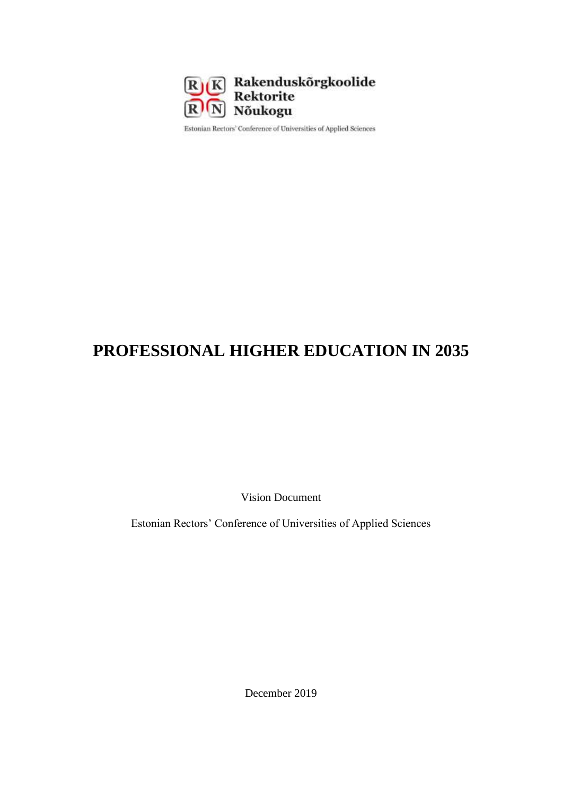

Estonian Rectors' Conference of Universities of Applied Sciences

# **PROFESSIONAL HIGHER EDUCATION IN 2035**

Vision Document

Estonian Rectors' Conference of Universities of Applied Sciences

December 2019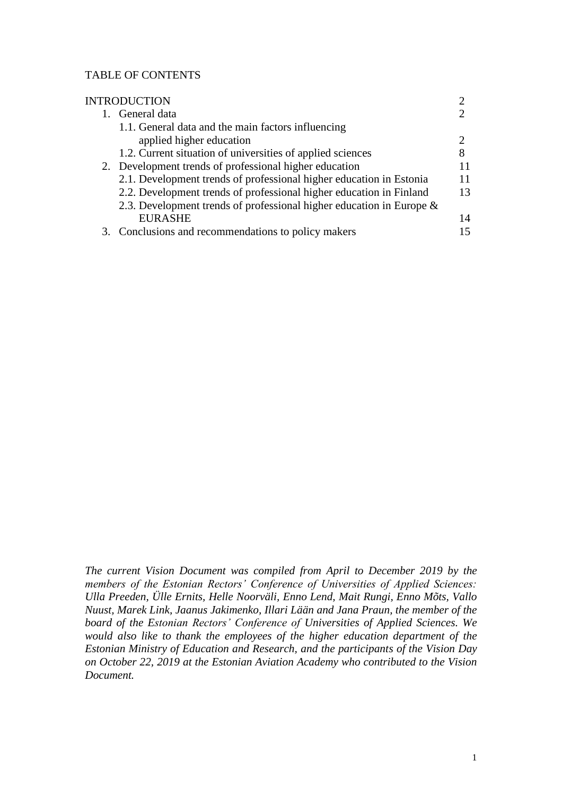#### TABLE OF CONTENTS

| <b>INTRODUCTION</b> |                                                                         |                             |
|---------------------|-------------------------------------------------------------------------|-----------------------------|
|                     | 1. General data                                                         |                             |
|                     | 1.1. General data and the main factors influencing                      |                             |
|                     | applied higher education                                                | $\mathcal{D}_{\mathcal{A}}$ |
|                     | 1.2. Current situation of universities of applied sciences              |                             |
|                     | 2. Development trends of professional higher education                  | 11                          |
|                     | 2.1. Development trends of professional higher education in Estonia     | 11                          |
|                     | 2.2. Development trends of professional higher education in Finland     | 13                          |
|                     | 2.3. Development trends of professional higher education in Europe $\&$ |                             |
|                     | <b>EURASHE</b>                                                          | 14                          |
|                     | 3. Conclusions and recommendations to policy makers                     | 15                          |

*The current Vision Document was compiled from April to December 2019 by the members of the Estonian Rectors' Conference of Universities of Applied Sciences: Ulla Preeden, Ülle Ernits, Helle Noorväli, Enno Lend, Mait Rungi, Enno Mõts, Vallo Nuust, Marek Link, Jaanus Jakimenko, Illari Lään and Jana Praun, the member of the board of the Estonian Rectors' Conference of Universities of Applied Sciences. We would also like to thank the employees of the higher education department of the Estonian Ministry of Education and Research, and the participants of the Vision Day on October 22, 2019 at the Estonian Aviation Academy who contributed to the Vision Document.*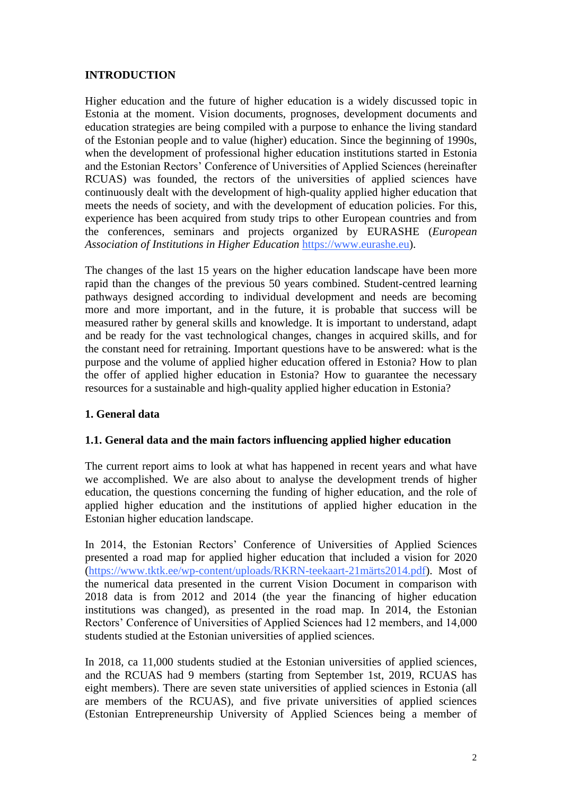# **INTRODUCTION**

Higher education and the future of higher education is a widely discussed topic in Estonia at the moment. Vision documents, prognoses, development documents and education strategies are being compiled with a purpose to enhance the living standard of the Estonian people and to value (higher) education. Since the beginning of 1990s, when the development of professional higher education institutions started in Estonia and the Estonian Rectors' Conference of Universities of Applied Sciences (hereinafter RCUAS) was founded, the rectors of the universities of applied sciences have continuously dealt with the development of high-quality applied higher education that meets the needs of society, and with the development of education policies. For this, experience has been acquired from study trips to other European countries and from the conferences, seminars and projects organized by EURASHE (*European Association of Institutions in Higher Education* [https://www.eurashe.eu\)](https://www.eurashe.eu/).

The changes of the last 15 years on the higher education landscape have been more rapid than the changes of the previous 50 years combined. Student-centred learning pathways designed according to individual development and needs are becoming more and more important, and in the future, it is probable that success will be measured rather by general skills and knowledge. It is important to understand, adapt and be ready for the vast technological changes, changes in acquired skills, and for the constant need for retraining. Important questions have to be answered: what is the purpose and the volume of applied higher education offered in Estonia? How to plan the offer of applied higher education in Estonia? How to guarantee the necessary resources for a sustainable and high-quality applied higher education in Estonia?

#### **1. General data**

#### **1.1. General data and the main factors influencing applied higher education**

The current report aims to look at what has happened in recent years and what have we accomplished. We are also about to analyse the development trends of higher education, the questions concerning the funding of higher education, and the role of applied higher education and the institutions of applied higher education in the Estonian higher education landscape.

In 2014, the Estonian Rectors' Conference of Universities of Applied Sciences presented a road map for applied higher education that included a vision for 2020 [\(https://www.tktk.ee/wp-content/uploads/RKRN-teekaart-21märts2014.pdf\)](https://www.tktk.ee/wp-content/uploads/RKRN-teekaart-21märts2014.pdf). Most of the numerical data presented in the current Vision Document in comparison with 2018 data is from 2012 and 2014 (the year the financing of higher education institutions was changed), as presented in the road map. In 2014, the Estonian Rectors' Conference of Universities of Applied Sciences had 12 members, and 14,000 students studied at the Estonian universities of applied sciences.

In 2018, ca 11,000 students studied at the Estonian universities of applied sciences, and the RCUAS had 9 members (starting from September 1st, 2019, RCUAS has eight members). There are seven state universities of applied sciences in Estonia (all are members of the RCUAS), and five private universities of applied sciences (Estonian Entrepreneurship University of Applied Sciences being a member of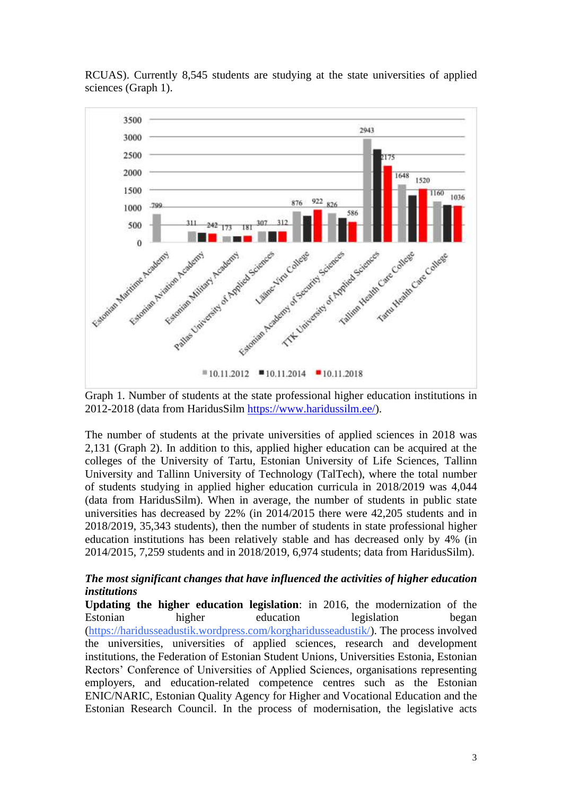

RCUAS). Currently 8,545 students are studying at the state universities of applied sciences (Graph 1).

Graph 1. Number of students at the state professional higher education institutions in 2012-2018 (data from HaridusSilm [https://www.haridussilm.ee/\)](https://www.haridussilm.ee/).

The number of students at the private universities of applied sciences in 2018 was 2,131 (Graph 2). In addition to this, applied higher education can be acquired at the colleges of the University of Tartu, Estonian University of Life Sciences, Tallinn University and Tallinn University of Technology (TalTech), where the total number of students studying in applied higher education curricula in 2018/2019 was 4,044 (data from HaridusSilm). When in average, the number of students in public state universities has decreased by 22% (in 2014/2015 there were 42,205 students and in 2018/2019, 35,343 students), then the number of students in state professional higher education institutions has been relatively stable and has decreased only by 4% (in 2014/2015, 7,259 students and in 2018/2019, 6,974 students; data from HaridusSilm).

### *The most significant changes that have influenced the activities of higher education institutions*

**Updating the higher education legislation**: in 2016, the modernization of the Estonian higher education legislation began [\(https://haridusseadustik.wordpress.com/korgharidusseadustik/\)](https://haridusseadustik.wordpress.com/korgharidusseadustik/). The process involved the universities, universities of applied sciences, research and development institutions, the Federation of Estonian Student Unions, Universities Estonia, Estonian Rectors' Conference of Universities of Applied Sciences, organisations representing employers, and education-related competence centres such as the Estonian ENIC/NARIC, Estonian Quality Agency for Higher and Vocational Education and the Estonian Research Council. In the process of modernisation, the legislative acts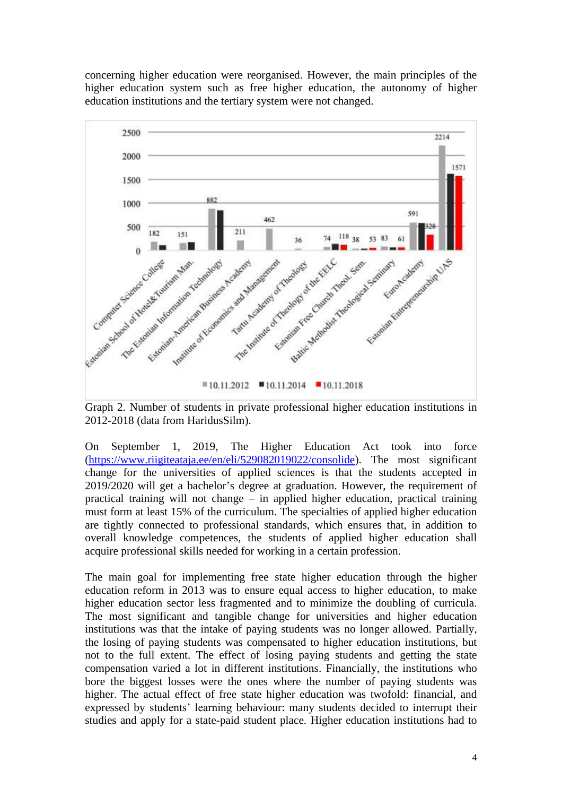concerning higher education were reorganised. However, the main principles of the higher education system such as free higher education, the autonomy of higher education institutions and the tertiary system were not changed.



Graph 2. Number of students in private professional higher education institutions in 2012-2018 (data from HaridusSilm).

On September 1, 2019, The Higher Education Act took into force [\(https://www.riigiteataja.ee/en/eli/529082019022/consolide\)](https://www.riigiteataja.ee/en/eli/529082019022/consolide). The most significant change for the universities of applied sciences is that the students accepted in 2019/2020 will get a bachelor's degree at graduation. However, the requirement of practical training will not change – in applied higher education, practical training must form at least 15% of the curriculum. The specialties of applied higher education are tightly connected to professional standards, which ensures that, in addition to overall knowledge competences, the students of applied higher education shall acquire professional skills needed for working in a certain profession.

The main goal for implementing free state higher education through the higher education reform in 2013 was to ensure equal access to higher education, to make higher education sector less fragmented and to minimize the doubling of curricula. The most significant and tangible change for universities and higher education institutions was that the intake of paying students was no longer allowed. Partially, the losing of paying students was compensated to higher education institutions, but not to the full extent. The effect of losing paying students and getting the state compensation varied a lot in different institutions. Financially, the institutions who bore the biggest losses were the ones where the number of paying students was higher. The actual effect of free state higher education was twofold: financial, and expressed by students' learning behaviour: many students decided to interrupt their studies and apply for a state-paid student place. Higher education institutions had to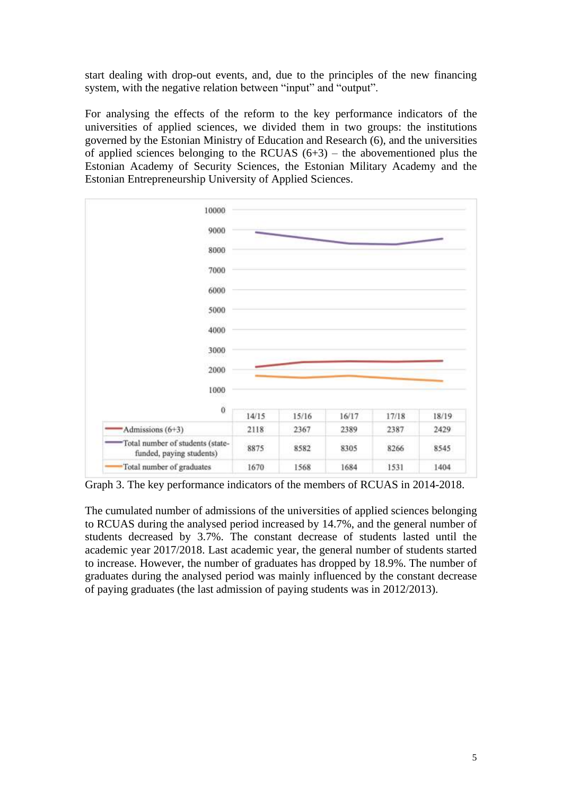start dealing with drop-out events, and, due to the principles of the new financing system, with the negative relation between "input" and "output".

For analysing the effects of the reform to the key performance indicators of the universities of applied sciences, we divided them in two groups: the institutions governed by the Estonian Ministry of Education and Research (6), and the universities of applied sciences belonging to the RCUAS  $(6+3)$  – the abovementioned plus the Estonian Academy of Security Sciences, the Estonian Military Academy and the Estonian Entrepreneurship University of Applied Sciences.



Graph 3. The key performance indicators of the members of RCUAS in 2014-2018.

The cumulated number of admissions of the universities of applied sciences belonging to RCUAS during the analysed period increased by 14.7%, and the general number of students decreased by 3.7%. The constant decrease of students lasted until the academic year 2017/2018. Last academic year, the general number of students started to increase. However, the number of graduates has dropped by 18.9%. The number of graduates during the analysed period was mainly influenced by the constant decrease of paying graduates (the last admission of paying students was in 2012/2013).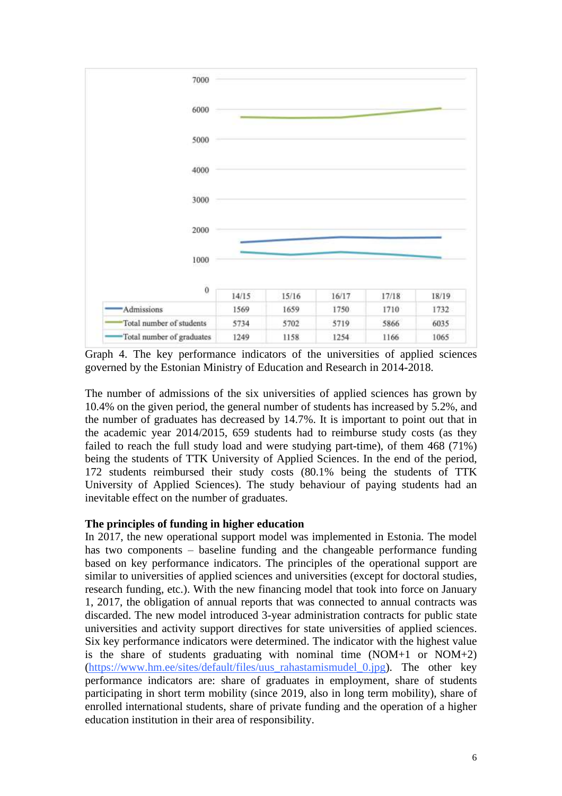

Graph 4. The key performance indicators of the universities of applied sciences governed by the Estonian Ministry of Education and Research in 2014-2018.

The number of admissions of the six universities of applied sciences has grown by 10.4% on the given period, the general number of students has increased by 5.2%, and the number of graduates has decreased by 14.7%. It is important to point out that in the academic year 2014/2015, 659 students had to reimburse study costs (as they failed to reach the full study load and were studying part-time), of them 468 (71%) being the students of TTK University of Applied Sciences. In the end of the period, 172 students reimbursed their study costs (80.1% being the students of TTK University of Applied Sciences). The study behaviour of paying students had an inevitable effect on the number of graduates.

#### **The principles of funding in higher education**

In 2017, the new operational support model was implemented in Estonia. The model has two components – baseline funding and the changeable performance funding based on key performance indicators. The principles of the operational support are similar to universities of applied sciences and universities (except for doctoral studies, research funding, etc.). With the new financing model that took into force on January 1, 2017, the obligation of annual reports that was connected to annual contracts was discarded. The new model introduced 3-year administration contracts for public state universities and activity support directives for state universities of applied sciences. Six key performance indicators were determined. The indicator with the highest value is the share of students graduating with nominal time  $(NOM+1)$  or  $NOM+2)$ [\(https://www.hm.ee/sites/default/files/uus\\_rahastamismudel\\_0.jpg\)](https://www.hm.ee/sites/default/files/uus_rahastamismudel_0.jpg). The other key performance indicators are: share of graduates in employment, share of students participating in short term mobility (since 2019, also in long term mobility), share of enrolled international students, share of private funding and the operation of a higher education institution in their area of responsibility.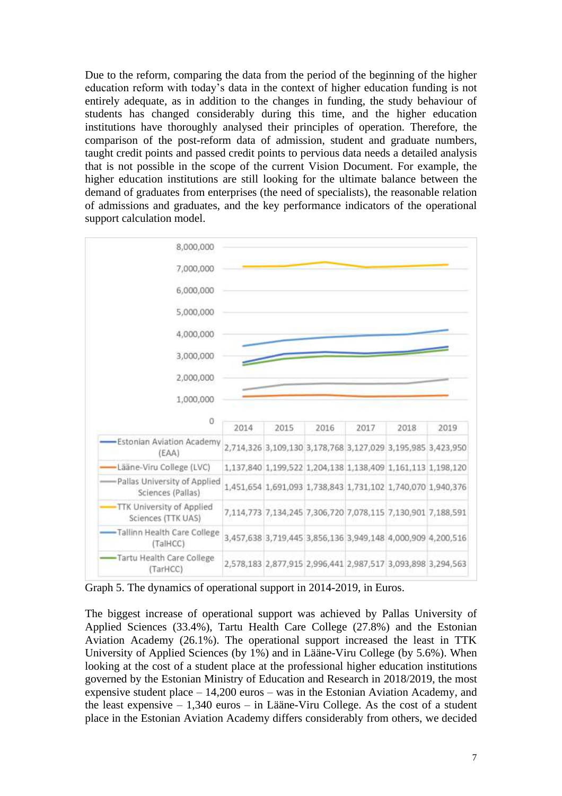Due to the reform, comparing the data from the period of the beginning of the higher education reform with today's data in the context of higher education funding is not entirely adequate, as in addition to the changes in funding, the study behaviour of students has changed considerably during this time, and the higher education institutions have thoroughly analysed their principles of operation. Therefore, the comparison of the post-reform data of admission, student and graduate numbers, taught credit points and passed credit points to pervious data needs a detailed analysis that is not possible in the scope of the current Vision Document. For example, the higher education institutions are still looking for the ultimate balance between the demand of graduates from enterprises (the need of specialists), the reasonable relation of admissions and graduates, and the key performance indicators of the operational support calculation model.



Graph 5. The dynamics of operational support in 2014-2019, in Euros.

The biggest increase of operational support was achieved by Pallas University of Applied Sciences (33.4%), Tartu Health Care College (27.8%) and the Estonian Aviation Academy (26.1%). The operational support increased the least in TTK University of Applied Sciences (by 1%) and in Lääne-Viru College (by 5.6%). When looking at the cost of a student place at the professional higher education institutions governed by the Estonian Ministry of Education and Research in 2018/2019, the most expensive student place – 14,200 euros – was in the Estonian Aviation Academy, and the least expensive – 1,340 euros – in Lääne-Viru College. As the cost of a student place in the Estonian Aviation Academy differs considerably from others, we decided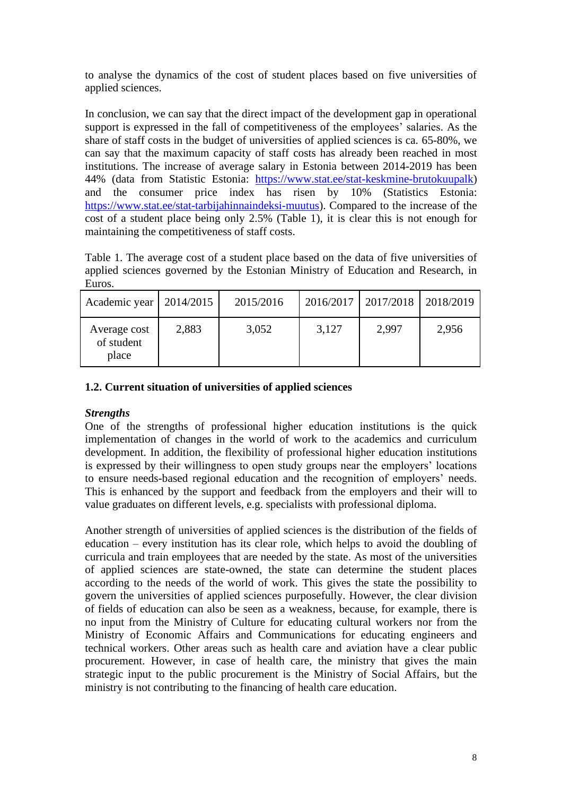to analyse the dynamics of the cost of student places based on five universities of applied sciences.

In conclusion, we can say that the direct impact of the development gap in operational support is expressed in the fall of competitiveness of the employees' salaries. As the share of staff costs in the budget of universities of applied sciences is ca. 65-80%, we can say that the maximum capacity of staff costs has already been reached in most institutions. The increase of average salary in Estonia between 2014-2019 has been 44% (data from Statistic Estonia: [https://www.stat.ee/stat-keskmine-brutokuupalk\)](https://www.stat.ee/stat-keskmine-brutokuupalk) and the consumer price index has risen by 10% (Statistics Estonia: and the consumer price index has risen by [https://www.stat.ee/stat-tarbijahinnaindeksi-muutus\)](https://www.stat.ee/stat-tarbijahinnaindeksi-muutus). Compared to the increase of the cost of a student place being only 2.5% (Table 1), it is clear this is not enough for maintaining the competitiveness of staff costs.

Table 1. The average cost of a student place based on the data of five universities of applied sciences governed by the Estonian Ministry of Education and Research, in Euros.

| Academic year                       | 2014/2015 | 2015/2016 | 2016/2017 | 2017/2018   2018/2019 |       |
|-------------------------------------|-----------|-----------|-----------|-----------------------|-------|
| Average cost<br>of student<br>place | 2,883     | 3,052     | 3,127     | 2,997                 | 2,956 |

# **1.2. Current situation of universities of applied sciences**

# *Strengths*

One of the strengths of professional higher education institutions is the quick implementation of changes in the world of work to the academics and curriculum development. In addition, the flexibility of professional higher education institutions is expressed by their willingness to open study groups near the employers' locations to ensure needs-based regional education and the recognition of employers' needs. This is enhanced by the support and feedback from the employers and their will to value graduates on different levels, e.g. specialists with professional diploma.

Another strength of universities of applied sciences is the distribution of the fields of education – every institution has its clear role, which helps to avoid the doubling of curricula and train employees that are needed by the state. As most of the universities of applied sciences are state-owned, the state can determine the student places according to the needs of the world of work. This gives the state the possibility to govern the universities of applied sciences purposefully. However, the clear division of fields of education can also be seen as a weakness, because, for example, there is no input from the Ministry of Culture for educating cultural workers nor from the Ministry of Economic Affairs and Communications for educating engineers and technical workers. Other areas such as health care and aviation have a clear public procurement. However, in case of health care, the ministry that gives the main strategic input to the public procurement is the Ministry of Social Affairs, but the ministry is not contributing to the financing of health care education.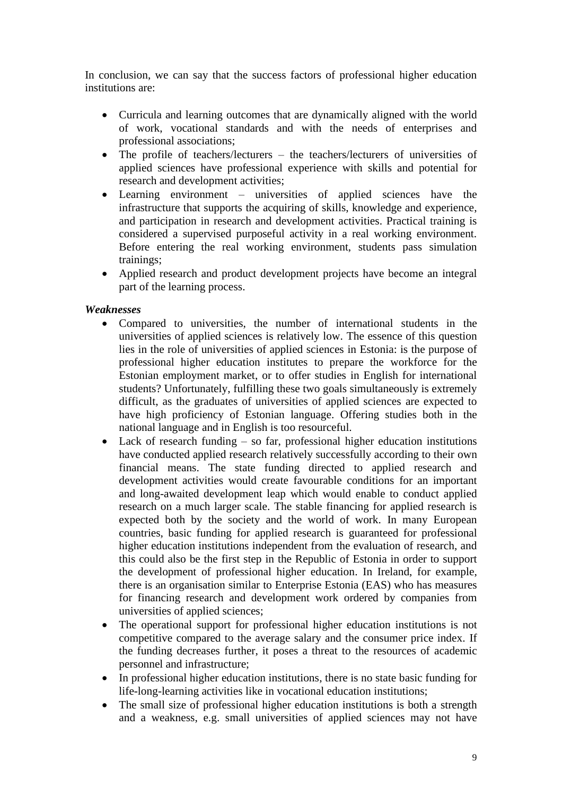In conclusion, we can say that the success factors of professional higher education institutions are:

- Curricula and learning outcomes that are dynamically aligned with the world of work, vocational standards and with the needs of enterprises and professional associations;
- The profile of teachers/lecturers the teachers/lecturers of universities of applied sciences have professional experience with skills and potential for research and development activities;
- Learning environment universities of applied sciences have the infrastructure that supports the acquiring of skills, knowledge and experience, and participation in research and development activities. Practical training is considered a supervised purposeful activity in a real working environment. Before entering the real working environment, students pass simulation trainings;
- Applied research and product development projects have become an integral part of the learning process.

# *Weaknesses*

- Compared to universities, the number of international students in the universities of applied sciences is relatively low. The essence of this question lies in the role of universities of applied sciences in Estonia: is the purpose of professional higher education institutes to prepare the workforce for the Estonian employment market, or to offer studies in English for international students? Unfortunately, fulfilling these two goals simultaneously is extremely difficult, as the graduates of universities of applied sciences are expected to have high proficiency of Estonian language. Offering studies both in the national language and in English is too resourceful.
- Lack of research funding so far, professional higher education institutions have conducted applied research relatively successfully according to their own financial means. The state funding directed to applied research and development activities would create favourable conditions for an important and long-awaited development leap which would enable to conduct applied research on a much larger scale. The stable financing for applied research is expected both by the society and the world of work. In many European countries, basic funding for applied research is guaranteed for professional higher education institutions independent from the evaluation of research, and this could also be the first step in the Republic of Estonia in order to support the development of professional higher education. In Ireland, for example, there is an organisation similar to Enterprise Estonia (EAS) who has measures for financing research and development work ordered by companies from universities of applied sciences;
- The operational support for professional higher education institutions is not competitive compared to the average salary and the consumer price index. If the funding decreases further, it poses a threat to the resources of academic personnel and infrastructure;
- In professional higher education institutions, there is no state basic funding for life-long-learning activities like in vocational education institutions;
- The small size of professional higher education institutions is both a strength and a weakness, e.g. small universities of applied sciences may not have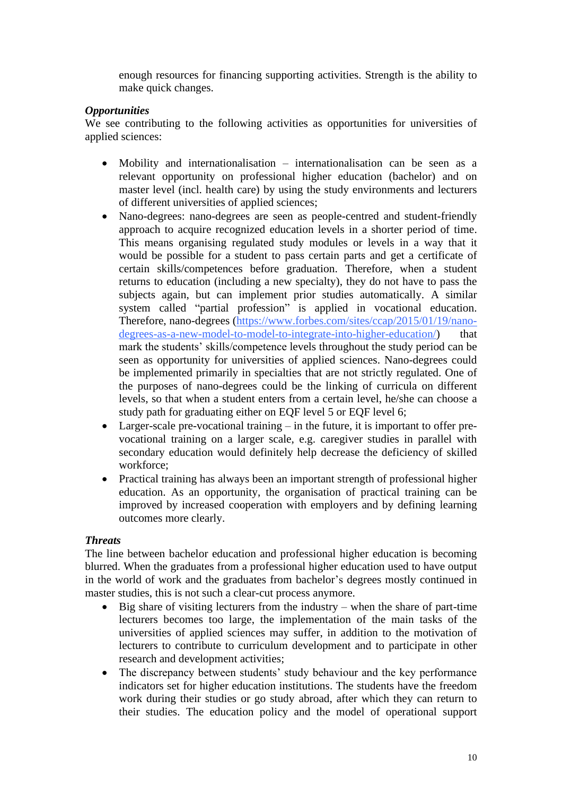enough resources for financing supporting activities. Strength is the ability to make quick changes.

# *Opportunities*

We see contributing to the following activities as opportunities for universities of applied sciences:

- Mobility and internationalisation internationalisation can be seen as a relevant opportunity on professional higher education (bachelor) and on master level (incl. health care) by using the study environments and lecturers of different universities of applied sciences;
- Nano-degrees: nano-degrees are seen as people-centred and student-friendly approach to acquire recognized education levels in a shorter period of time. This means organising regulated study modules or levels in a way that it would be possible for a student to pass certain parts and get a certificate of certain skills/competences before graduation. Therefore, when a student returns to education (including a new specialty), they do not have to pass the subjects again, but can implement prior studies automatically. A similar system called "partial profession" is applied in vocational education. Therefore, nano-degrees [\(https://www.forbes.com/sites/ccap/2015/01/19/nano](https://www.forbes.com/sites/ccap/2015/01/19/nano-degrees-as-a-new-model-to-model-to-integrate-into-higher-education/)[degrees-as-a-new-model-to-model-to-integrate-into-higher-education/\)](https://www.forbes.com/sites/ccap/2015/01/19/nano-degrees-as-a-new-model-to-model-to-integrate-into-higher-education/) that mark the students' skills/competence levels throughout the study period can be seen as opportunity for universities of applied sciences. Nano-degrees could be implemented primarily in specialties that are not strictly regulated. One of the purposes of nano-degrees could be the linking of curricula on different levels, so that when a student enters from a certain level, he/she can choose a study path for graduating either on EQF level 5 or EQF level 6;
- Larger-scale pre-vocational training in the future, it is important to offer prevocational training on a larger scale, e.g. caregiver studies in parallel with secondary education would definitely help decrease the deficiency of skilled workforce;
- Practical training has always been an important strength of professional higher education. As an opportunity, the organisation of practical training can be improved by increased cooperation with employers and by defining learning outcomes more clearly.

# *Threats*

The line between bachelor education and professional higher education is becoming blurred. When the graduates from a professional higher education used to have output in the world of work and the graduates from bachelor's degrees mostly continued in master studies, this is not such a clear-cut process anymore.

- Big share of visiting lecturers from the industry when the share of part-time lecturers becomes too large, the implementation of the main tasks of the universities of applied sciences may suffer, in addition to the motivation of lecturers to contribute to curriculum development and to participate in other research and development activities;
- The discrepancy between students' study behaviour and the key performance indicators set for higher education institutions. The students have the freedom work during their studies or go study abroad, after which they can return to their studies. The education policy and the model of operational support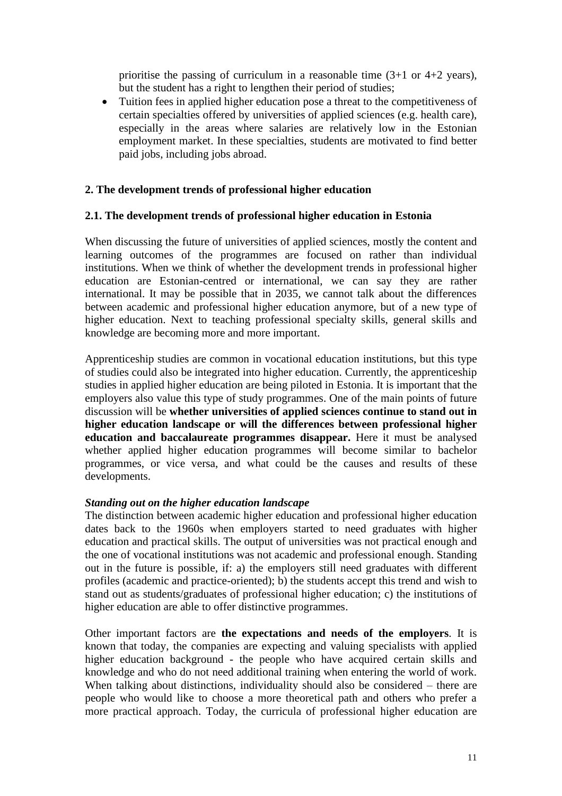prioritise the passing of curriculum in a reasonable time  $(3+1 \text{ or } 4+2 \text{ years})$ , but the student has a right to lengthen their period of studies;

• Tuition fees in applied higher education pose a threat to the competitiveness of certain specialties offered by universities of applied sciences (e.g. health care), especially in the areas where salaries are relatively low in the Estonian employment market. In these specialties, students are motivated to find better paid jobs, including jobs abroad.

## **2. The development trends of professional higher education**

#### **2.1. The development trends of professional higher education in Estonia**

When discussing the future of universities of applied sciences, mostly the content and learning outcomes of the programmes are focused on rather than individual institutions. When we think of whether the development trends in professional higher education are Estonian-centred or international, we can say they are rather international. It may be possible that in 2035, we cannot talk about the differences between academic and professional higher education anymore, but of a new type of higher education. Next to teaching professional specialty skills, general skills and knowledge are becoming more and more important.

Apprenticeship studies are common in vocational education institutions, but this type of studies could also be integrated into higher education. Currently, the apprenticeship studies in applied higher education are being piloted in Estonia. It is important that the employers also value this type of study programmes. One of the main points of future discussion will be **whether universities of applied sciences continue to stand out in higher education landscape or will the differences between professional higher education and baccalaureate programmes disappear.** Here it must be analysed whether applied higher education programmes will become similar to bachelor programmes, or vice versa, and what could be the causes and results of these developments.

#### *Standing out on the higher education landscape*

The distinction between academic higher education and professional higher education dates back to the 1960s when employers started to need graduates with higher education and practical skills. The output of universities was not practical enough and the one of vocational institutions was not academic and professional enough. Standing out in the future is possible, if: a) the employers still need graduates with different profiles (academic and practice-oriented); b) the students accept this trend and wish to stand out as students/graduates of professional higher education; c) the institutions of higher education are able to offer distinctive programmes.

Other important factors are **the expectations and needs of the employers**. It is known that today, the companies are expecting and valuing specialists with applied higher education background - the people who have acquired certain skills and knowledge and who do not need additional training when entering the world of work. When talking about distinctions, individuality should also be considered – there are people who would like to choose a more theoretical path and others who prefer a more practical approach. Today, the curricula of professional higher education are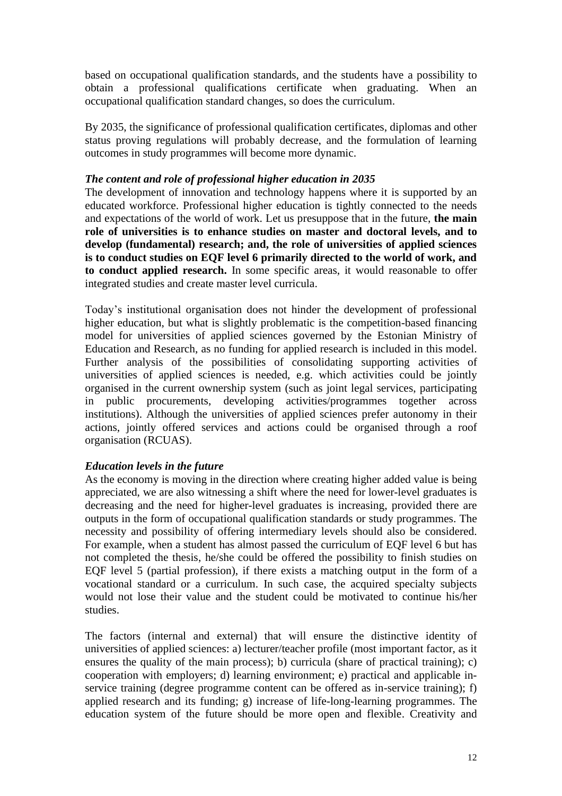based on occupational qualification standards, and the students have a possibility to obtain a professional qualifications certificate when graduating. When an occupational qualification standard changes, so does the curriculum.

By 2035, the significance of professional qualification certificates, diplomas and other status proving regulations will probably decrease, and the formulation of learning outcomes in study programmes will become more dynamic.

#### *The content and role of professional higher education in 2035*

The development of innovation and technology happens where it is supported by an educated workforce. Professional higher education is tightly connected to the needs and expectations of the world of work. Let us presuppose that in the future, **the main role of universities is to enhance studies on master and doctoral levels, and to develop (fundamental) research; and, the role of universities of applied sciences is to conduct studies on EQF level 6 primarily directed to the world of work, and to conduct applied research.** In some specific areas, it would reasonable to offer integrated studies and create master level curricula.

Today's institutional organisation does not hinder the development of professional higher education, but what is slightly problematic is the competition-based financing model for universities of applied sciences governed by the Estonian Ministry of Education and Research, as no funding for applied research is included in this model. Further analysis of the possibilities of consolidating supporting activities of universities of applied sciences is needed, e.g. which activities could be jointly organised in the current ownership system (such as joint legal services, participating in public procurements, developing activities/programmes together across institutions). Although the universities of applied sciences prefer autonomy in their actions, jointly offered services and actions could be organised through a roof organisation (RCUAS).

# *Education levels in the future*

As the economy is moving in the direction where creating higher added value is being appreciated, we are also witnessing a shift where the need for lower-level graduates is decreasing and the need for higher-level graduates is increasing, provided there are outputs in the form of occupational qualification standards or study programmes. The necessity and possibility of offering intermediary levels should also be considered. For example, when a student has almost passed the curriculum of EQF level 6 but has not completed the thesis, he/she could be offered the possibility to finish studies on EQF level 5 (partial profession), if there exists a matching output in the form of a vocational standard or a curriculum. In such case, the acquired specialty subjects would not lose their value and the student could be motivated to continue his/her studies.

The factors (internal and external) that will ensure the distinctive identity of universities of applied sciences: a) lecturer/teacher profile (most important factor, as it ensures the quality of the main process); b) curricula (share of practical training); c) cooperation with employers; d) learning environment; e) practical and applicable inservice training (degree programme content can be offered as in-service training); f) applied research and its funding; g) increase of life-long-learning programmes. The education system of the future should be more open and flexible. Creativity and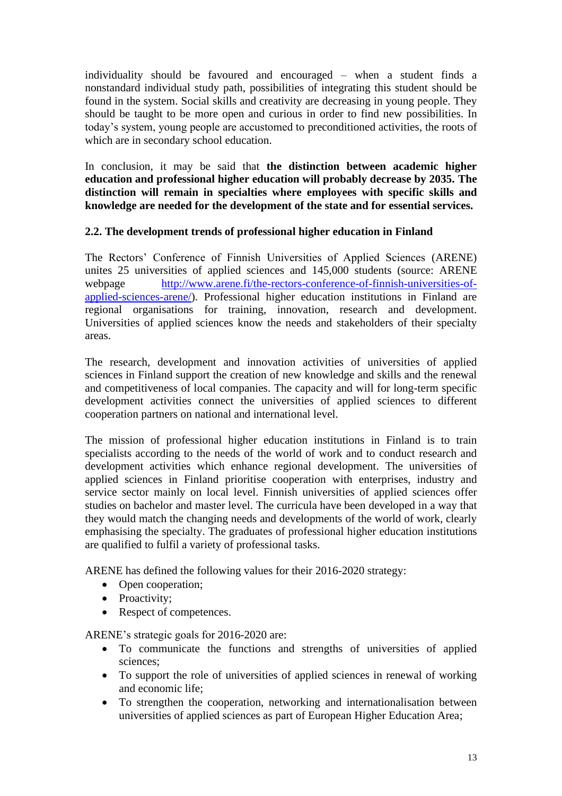individuality should be favoured and encouraged – when a student finds a nonstandard individual study path, possibilities of integrating this student should be found in the system. Social skills and creativity are decreasing in young people. They should be taught to be more open and curious in order to find new possibilities. In today's system, young people are accustomed to preconditioned activities, the roots of which are in secondary school education.

In conclusion, it may be said that **the distinction between academic higher education and professional higher education will probably decrease by 2035. The distinction will remain in specialties where employees with specific skills and knowledge are needed for the development of the state and for essential services.**

# **2.2. The development trends of professional higher education in Finland**

The Rectors' Conference of Finnish Universities of Applied Sciences (ARENE) unites 25 universities of applied sciences and 145,000 students (source: ARENE webpage [http://www.arene.fi/the-rectors-conference-of-finnish-universities-of](http://www.arene.fi/the-rectors-conference-of-finnish-universities-of-applied-sciences-arene/)[applied-sciences-arene/\)](http://www.arene.fi/the-rectors-conference-of-finnish-universities-of-applied-sciences-arene/). Professional higher education institutions in Finland are regional organisations for training, innovation, research and development. Universities of applied sciences know the needs and stakeholders of their specialty areas.

The research, development and innovation activities of universities of applied sciences in Finland support the creation of new knowledge and skills and the renewal and competitiveness of local companies. The capacity and will for long-term specific development activities connect the universities of applied sciences to different cooperation partners on national and international level.

The mission of professional higher education institutions in Finland is to train specialists according to the needs of the world of work and to conduct research and development activities which enhance regional development. The universities of applied sciences in Finland prioritise cooperation with enterprises, industry and service sector mainly on local level. Finnish universities of applied sciences offer studies on bachelor and master level. The curricula have been developed in a way that they would match the changing needs and developments of the world of work, clearly emphasising the specialty. The graduates of professional higher education institutions are qualified to fulfil a variety of professional tasks.

ARENE has defined the following values for their 2016-2020 strategy:

- Open cooperation;
- Proactivity;
- Respect of competences.

ARENE's strategic goals for 2016-2020 are:

- To communicate the functions and strengths of universities of applied sciences;
- To support the role of universities of applied sciences in renewal of working and economic life;
- To strengthen the cooperation, networking and internationalisation between universities of applied sciences as part of European Higher Education Area;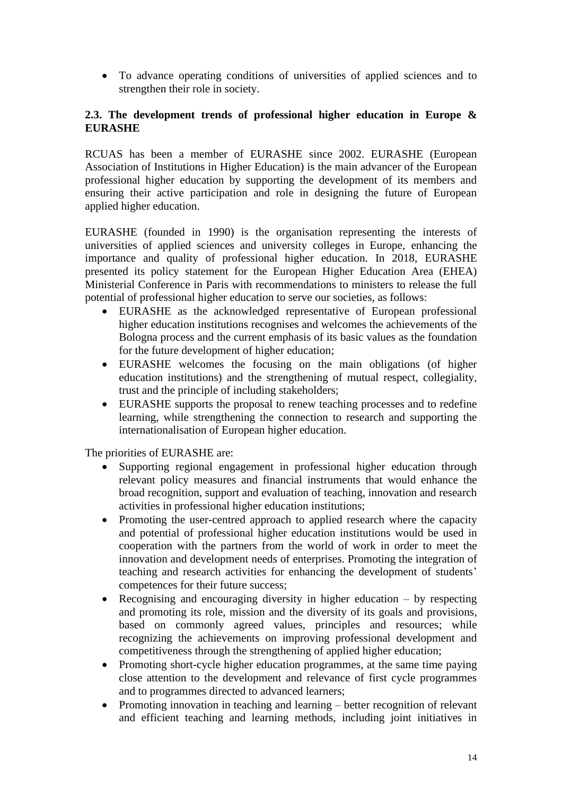• To advance operating conditions of universities of applied sciences and to strengthen their role in society.

# **2.3. The development trends of professional higher education in Europe & EURASHE**

RCUAS has been a member of EURASHE since 2002. EURASHE (European Association of Institutions in Higher Education) is the main advancer of the European professional higher education by supporting the development of its members and ensuring their active participation and role in designing the future of European applied higher education.

EURASHE (founded in 1990) is the organisation representing the interests of universities of applied sciences and university colleges in Europe, enhancing the importance and quality of professional higher education. In 2018, EURASHE presented its policy statement for the European Higher Education Area (EHEA) Ministerial Conference in Paris with recommendations to ministers to release the full potential of professional higher education to serve our societies, as follows:

- EURASHE as the acknowledged representative of European professional higher education institutions recognises and welcomes the achievements of the Bologna process and the current emphasis of its basic values as the foundation for the future development of higher education;
- EURASHE welcomes the focusing on the main obligations (of higher education institutions) and the strengthening of mutual respect, collegiality, trust and the principle of including stakeholders;
- EURASHE supports the proposal to renew teaching processes and to redefine learning, while strengthening the connection to research and supporting the internationalisation of European higher education.

The priorities of EURASHE are:

- Supporting regional engagement in professional higher education through relevant policy measures and financial instruments that would enhance the broad recognition, support and evaluation of teaching, innovation and research activities in professional higher education institutions;
- Promoting the user-centred approach to applied research where the capacity and potential of professional higher education institutions would be used in cooperation with the partners from the world of work in order to meet the innovation and development needs of enterprises. Promoting the integration of teaching and research activities for enhancing the development of students' competences for their future success;
- Recognising and encouraging diversity in higher education by respecting and promoting its role, mission and the diversity of its goals and provisions, based on commonly agreed values, principles and resources; while recognizing the achievements on improving professional development and competitiveness through the strengthening of applied higher education;
- Promoting short-cycle higher education programmes, at the same time paying close attention to the development and relevance of first cycle programmes and to programmes directed to advanced learners;
- Promoting innovation in teaching and learning better recognition of relevant and efficient teaching and learning methods, including joint initiatives in